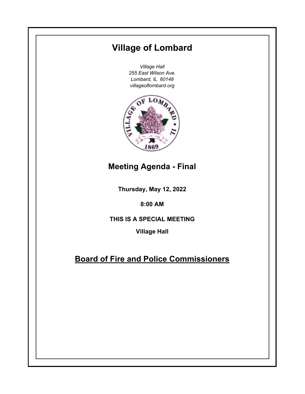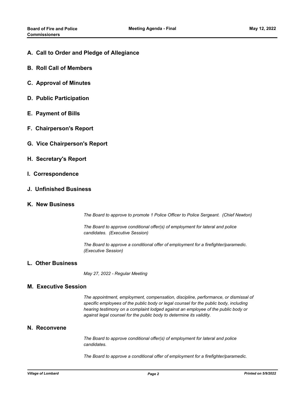- **A. Call to Order and Pledge of Allegiance**
- **B. Roll Call of Members**
- **C. Approval of Minutes**
- **D. Public Participation**
- **E. Payment of Bills**
- **F. Chairperson's Report**
- **G. Vice Chairperson's Report**
- **H. Secretary's Report**
- **I. Correspondence**
- **J. Unfinished Business**
- **K. New Business**

*The Board to approve to promote 1 Police Officer to Police Sergeant. (Chief Newton)*

*The Board to approve conditional offer(s) of employment for lateral and police candidates. (Executive Session)*

*The Board to approve a conditional offer of employment for a firefighter/paramedic. (Executive Session)*

## **L. Other Business**

*May 27, 2022 - Regular Meeting*

## **M. Executive Session**

*The appointment, employment, compensation, discipline, performance, or dismissal of specific employees of the public body or legal counsel for the public body, including hearing testimony on a complaint lodged against an employee of the public body or against legal counsel for the public body to determine its validity.*

## **N. Reconvene**

*The Board to approve conditional offer(s) of employment for lateral and police candidates.*

*The Board to approve a conditional offer of employment for a firefighter/paramedic.*